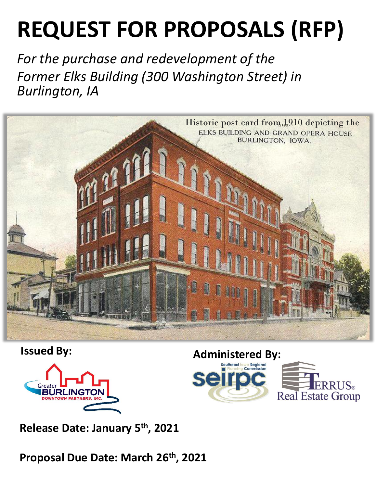# **REQUEST FOR PROPOSALS (RFP)**

*For the purchase and redevelopment of the Former Elks Building (300 Washington Street) in Burlington, IA*







**Release Date: January 5 th , 2021**

**Proposal Due Date: March 26th, 2021**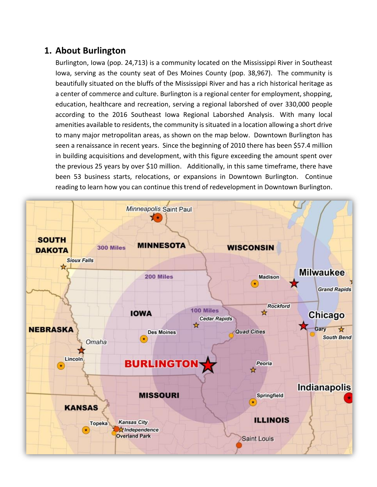## **1. About Burlington**

Burlington, Iowa (pop. 24,713) is a community located on the Mississippi River in Southeast Iowa, serving as the county seat of Des Moines County (pop. 38,967). The community is beautifully situated on the bluffs of the Mississippi River and has a rich historical heritage as a center of commerce and culture. Burlington is a regional center for employment, shopping, education, healthcare and recreation, serving a regional laborshed of over 330,000 people according to the 2016 Southeast Iowa Regional Laborshed Analysis. With many local amenities available to residents, the community is situated in a location allowing a short drive to many major metropolitan areas, as shown on the map below. Downtown Burlington has seen a renaissance in recent years. Since the beginning of 2010 there has been \$57.4 million in building acquisitions and development, with this figure exceeding the amount spent over the previous 25 years by over \$10 million. Additionally, in this same timeframe, there have been 53 business starts, relocations, or expansions in Downtown Burlington. Continue reading to learn how you can continue this trend of redevelopment in Downtown Burlington.

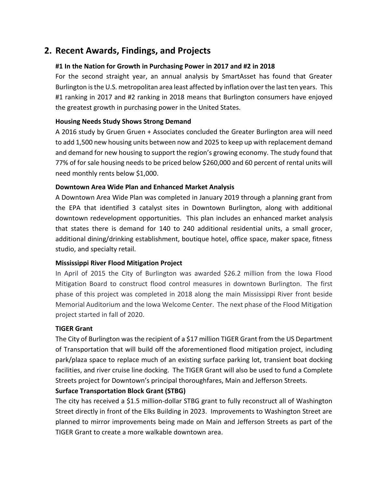## **2. Recent Awards, Findings, and Projects**

#### **[#1 In the Nation for Growth in Purchasing Power](http://www.greaterburlington.com/chamber/news/greater-burlington-ranks-1-in-nation--again/) in 2017 and #2 in 2018**

For the second straight year, an annual analysis by SmartAsset has found that Greater Burlington is the U.S. metropolitan area least affected by inflation over the last ten years. This #1 ranking in 2017 and #2 ranking in 2018 means that Burlington consumers have enjoyed the greatest growth in purchasing power in the United States.

#### **Housing Needs Study Shows Strong Demand**

A 2016 study by Gruen Gruen + Associates concluded the Greater Burlington area will need to add 1,500 new housing units between now and 2025 to keep up with replacement demand and demand for new housing to support the region's growing economy. The study found that 77% of for sale housing needs to be priced below \$260,000 and 60 percent of rental units will need monthly rents below \$1,000.

#### **Downtown Area Wide Plan and Enhanced Market Analysis**

A Downtown Area Wide Plan was completed in January 2019 through a planning grant from the EPA that identified 3 catalyst sites in Downtown Burlington, along with additional downtown redevelopment opportunities. This plan includes an enhanced market analysis that states there is demand for 140 to 240 additional residential units, a small grocer, additional dining/drinking establishment, boutique hotel, office space, maker space, fitness studio, and specialty retail.

#### **Mississippi River Flood Mitigation Project**

In April of 2015 the City of Burlington was awarded \$26.2 million from the Iowa Flood Mitigation Board to construct flood control measures in downtown Burlington. The first phase of this project was completed in 2018 along the main Mississippi River front beside Memorial Auditorium and the Iowa Welcome Center. The next phase of the Flood Mitigation project started in fall of 2020.

#### **TIGER Grant**

The City of Burlington was the recipient of a \$17 million TIGER Grant from the US Department of Transportation that will build off the aforementioned flood mitigation project, including park/plaza space to replace much of an existing surface parking lot, transient boat docking facilities, and river cruise line docking. The TIGER Grant will also be used to fund a Complete Streets project for Downtown's principal thoroughfares, Main and Jefferson Streets.

#### **Surface Transportation Block Grant (STBG)**

The city has received a \$1.5 million-dollar STBG grant to fully reconstruct all of Washington Street directly in front of the Elks Building in 2023. Improvements to Washington Street are planned to mirror improvements being made on Main and Jefferson Streets as part of the TIGER Grant to create a more walkable downtown area.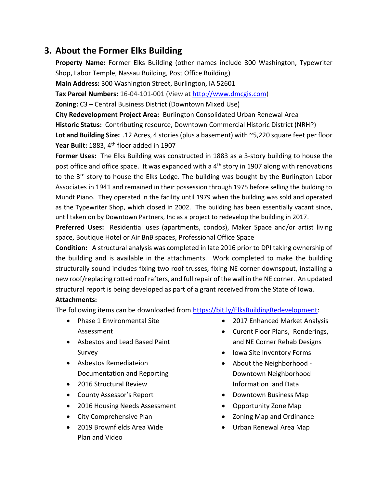## **3. About the Former Elks Building**

**Property Name:** Former Elks Building (other names include 300 Washington, Typewriter Shop, Labor Temple, Nassau Building, Post Office Building)

**Main Address:** 300 Washington Street, Burlington, IA 52601

**Tax Parcel Numbers:** 16-04-101-001 (View a[t http://www.dmcgis.com\)](http://www.dmcgis.com/)

**Zoning:** C3 – Central Business District (Downtown Mixed Use)

**City Redevelopment Project Area:** Burlington Consolidated Urban Renewal Area **Historic Status:** Contributing resource, Downtown Commercial Historic District (NRHP) **Lot and Building Size:** .12 Acres, 4 stories(plus a basement) with ~5,220 square feet per floor Year Built: 1883, 4<sup>th</sup> floor added in 1907

**Former Uses:** The Elks Building was constructed in 1883 as a 3-story building to house the post office and office space. It was expanded with a  $4<sup>th</sup>$  story in 1907 along with renovations to the 3<sup>rd</sup> story to house the Elks Lodge. The building was bought by the Burlington Labor Associates in 1941 and remained in their possession through 1975 before selling the building to Mundt Piano. They operated in the facility until 1979 when the building was sold and operated as the Typewriter Shop, which closed in 2002. The building has been essentially vacant since, until taken on by Downtown Partners, Inc as a project to redevelop the building in 2017.

**Preferred Uses:** Residential uses (apartments, condos), Maker Space and/or artist living space, Boutique Hotel or Air BnB spaces, Professional Office Space

**Condition:** A structural analysis was completed in late 2016 prior to DPI taking ownership of the building and is available in the attachments. Work completed to make the building structurally sound includes fixing two roof trusses, fixing NE corner downspout, installing a new roof/replacing rotted roof rafters, and full repair of the wall in the NE corner. An updated structural report is being developed as part of a grant received from the State of Iowa.

#### **Attachments:**

The following items can be downloaded from [https://bit.ly/ElksBuildingRedevelopment:](https://bit.ly/ElksBuildingRedevelopment)

- Phase 1 Environmental Site Assessment
- Asbestos and Lead Based Paint Survey
- Asbestos Remediateion Documentation and Reporting
- 2016 Structural Review
- County Assessor's Report
- 2016 Housing Needs Assessment
- City Comprehensive Plan
- 2019 Brownfields Area Wide Plan and Video
- 2017 Enhanced Market Analysis
- Curent Floor Plans, Renderings, and NE Corner Rehab Designs
- Iowa Site Inventory Forms
- About the Neighborhood Downtown Neighborhood Information and Data
- Downtown Business Map
- Opportunity Zone Map
- Zoning Map and Ordinance
- Urban Renewal Area Map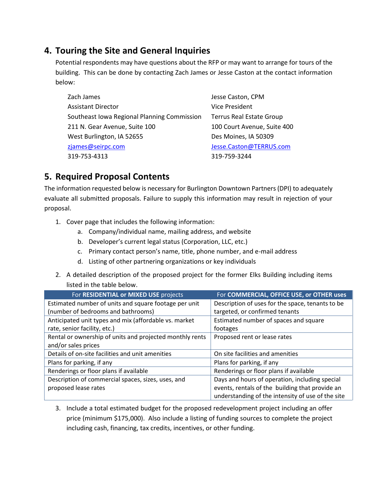## **4. Touring the Site and General Inquiries**

Potential respondents may have questions about the RFP or may want to arrange for tours of the building. This can be done by contacting Zach James or Jesse Caston at the contact information below:

Zach James Assistant Director Southeast Iowa Regional Planning Commission 211 N. Gear Avenue, Suite 100 West Burlington, IA 52655 [zjames@seirpc.com](mailto:zjames@seirpc.com) 319-753-4313

Jesse Caston, CPM Vice President Terrus Real Estate Group 100 Court Avenue, Suite 400 Des Moines, IA 50309 [Jesse.Caston@TERRUS.com](mailto:Jesse.Caston@TERRUS.com) 319-759-3244

# **5. Required Proposal Contents**

The information requested below is necessary for Burlington Downtown Partners (DPI) to adequately evaluate all submitted proposals. Failure to supply this information may result in rejection of your proposal.

- 1. Cover page that includes the following information:
	- a. Company/individual name, mailing address, and website
	- b. Developer's current legal status (Corporation, LLC, etc.)
	- c. Primary contact person's name, title, phone number, and e-mail address
	- d. Listing of other partnering organizations or key individuals
- 2. A detailed description of the proposed project for the former Elks Building including items listed in the table below.

| For RESIDENTIAL or MIXED USE projects                    | For COMMERCIAL, OFFICE USE, or OTHER uses         |
|----------------------------------------------------------|---------------------------------------------------|
| Estimated number of units and square footage per unit    | Description of uses for the space, tenants to be  |
| (number of bedrooms and bathrooms)                       | targeted, or confirmed tenants                    |
| Anticipated unit types and mix (affordable vs. market    | Estimated number of spaces and square             |
| rate, senior facility, etc.)                             | footages                                          |
| Rental or ownership of units and projected monthly rents | Proposed rent or lease rates                      |
| and/or sales prices                                      |                                                   |
| Details of on-site facilities and unit amenities         | On site facilities and amenities                  |
| Plans for parking, if any                                | Plans for parking, if any                         |
| Renderings or floor plans if available                   | Renderings or floor plans if available            |
| Description of commercial spaces, sizes, uses, and       | Days and hours of operation, including special    |
| proposed lease rates                                     | events, rentals of the building that provide an   |
|                                                          | understanding of the intensity of use of the site |

3. Include a total estimated budget for the proposed redevelopment project including an offer price (minimum \$175,000). Also include a listing of funding sources to complete the project including cash, financing, tax credits, incentives, or other funding.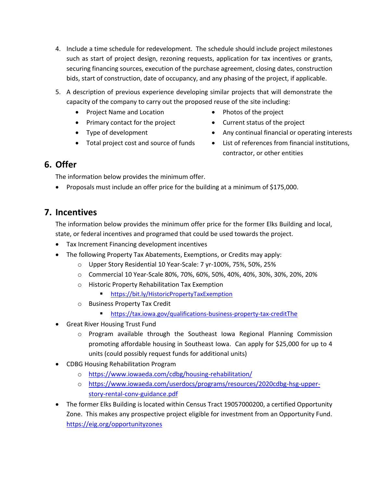- 4. Include a time schedule for redevelopment. The schedule should include project milestones such as start of project design, rezoning requests, application for tax incentives or grants, securing financing sources, execution of the purchase agreement, closing dates, construction bids, start of construction, date of occupancy, and any phasing of the project, if applicable.
- 5. A description of previous experience developing similar projects that will demonstrate the capacity of the company to carry out the proposed reuse of the site including:
	- Project Name and Location Photos of the project
	- Primary contact for the project Current status of the project
	-
	-
- 
- 
- Type of development Any continual financial or operating interests
- Total project cost and source of funds List of references from financial institutions, contractor, or other entities

## **6. Offer**

The information below provides the minimum offer.

• Proposals must include an offer price for the building at a minimum of \$175,000.

### **7. Incentives**

The information below provides the minimum offer price for the former Elks Building and local, state, or federal incentives and programed that could be used towards the project.

- Tax Increment Financing development incentives
- The following Property Tax Abatements, Exemptions, or Credits may apply:
	- o Upper Story Residential 10 Year-Scale: 7 yr-100%, 75%, 50%, 25%
	- o Commercial 10 Year-Scale 80%, 70%, 60%, 50%, 40%, 40%, 30%, 30%, 20%, 20%
	- o Historic Property Rehabilitation Tax Exemption
		- **Intradellack <https://bit.ly/HistoricPropertyTaxExemption>**
	- o Business Property Tax Credit
		- [https://tax.iowa.gov/qualifications-business-property-tax-credit](https://tax.iowa.gov/qualifications-business-property-tax-creditThe)T[he](https://tax.iowa.gov/qualifications-business-property-tax-creditThe)
- Great River Housing Trust Fund
	- o Program available through the Southeast Iowa Regional Planning Commission promoting affordable housing in Southeast Iowa. Can apply for \$25,000 for up to 4 units (could possibly request funds for additional units)
- CDBG Housing Rehabilitation Program
	- o <https://www.iowaeda.com/cdbg/housing-rehabilitation/>
	- o [https://www.iowaeda.com/userdocs/programs/resources/2020cdbg-hsg-upper](https://www.iowaeda.com/userdocs/programs/resources/2020cdbg-hsg-upper-story-rental-conv-guidance.pdf)[story-rental-conv-guidance.pdf](https://www.iowaeda.com/userdocs/programs/resources/2020cdbg-hsg-upper-story-rental-conv-guidance.pdf)
- The former Elks Building is located within Census Tract 19057000200, a certified Opportunity Zone. This makes any prospective project eligible for investment from an Opportunity Fund. <https://eig.org/opportunityzones>